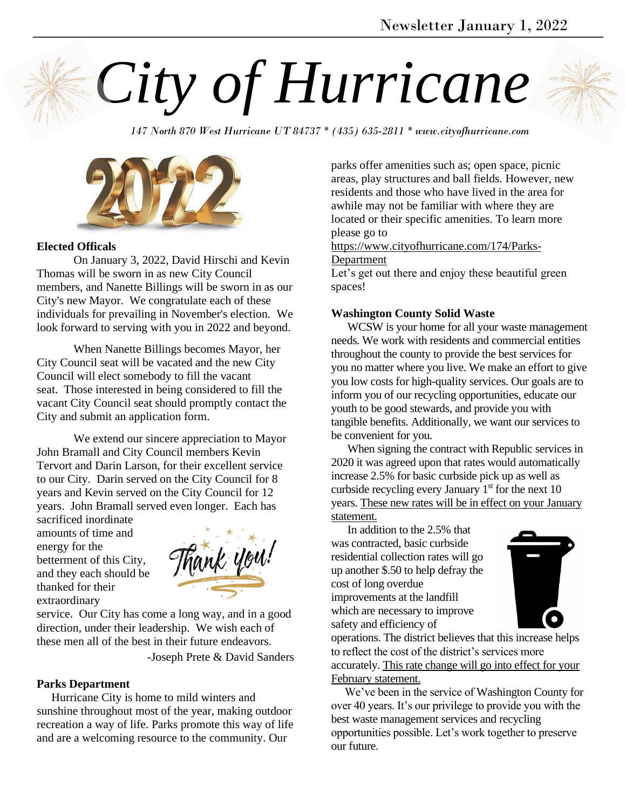

*147 North 870 West Hurricane UT 84737 \* (435) 635-2811 \* www.cityofhurricane.com*



# **Elected Officals**

On January 3, 2022, David Hirschi and Kevin Thomas will be sworn in as new City Council members, and Nanette Billings will be sworn in as our City's new Mayor. We congratulate each of these individuals for prevailing in November's election. We look forward to serving with you in 2022 and beyond.

When Nanette Billings becomes Mayor, her City Council seat will be vacated and the new City Council will elect somebody to fill the vacant seat. Those interested in being considered to fill the vacant City Council seat should promptly contact the City and submit an application form.

We extend our sincere appreciation to Mayor John Bramall and City Council members Kevin Tervort and Darin Larson, for their excellent service to our City. Darin served on the City Council for 8 years and Kevin served on the City Council for 12 years. John Bramall served even longer. Each has

sacrificed inordinate amounts of time and energy for the betterment of this City, and they each should be thanked for their extraordinary



service. Our City has come a long way, and in a good direction, under their leadership. We wish each of these men all of the best in their future endeavors.

-Joseph Prete & David Sanders

#### **Parks Department**

 Hurricane City is home to mild winters and sunshine throughout most of the year, making outdoor recreation a way of life. Parks promote this way of life and are a welcoming resource to the community. Our

parks offer amenities such as; open space, picnic areas, play structures and ball fields. However, new residents and those who have lived in the area for awhile may not be familiar with where they are located or their specific amenities. To learn more please go to

[https://www.cityofhurricane.com/174/Parks-](https://www.cityofhurricane.com/174/Parks-Department)[Department](https://www.cityofhurricane.com/174/Parks-Department)

Let's get out there and enjoy these beautiful green spaces!

#### **Washington County Solid Waste**

 WCSW is your home for all your waste management needs. We work with residents and commercial entities throughout the county to provide the best services for you no matter where you live. We make an effort to give you low costs for high-quality services. Our goals are to inform you of our recycling opportunities, educate our youth to be good stewards, and provide you with tangible benefits. Additionally, we want our services to be convenient for you.

 When signing the contract with Republic services in 2020 it was agreed upon that rates would automatically increase 2.5% for basic curbside pick up as well as curbside recycling every January  $1<sup>st</sup>$  for the next 10 years. These new rates will be in effect on your January statement.

 In addition to the 2.5% that was contracted, basic curbside residential collection rates will go up another \$.50 to help defray the cost of long overdue improvements at the landfill which are necessary to improve safety and efficiency of



operations. The district believes that this increase helps to reflect the cost of the district's services more accurately. This rate change will go into effect for your February statement.

 We've been in the service of Washington County for over 40 years. It's our privilege to provide you with the best waste management services and recycling opportunities possible. Let's work together to preserve our future.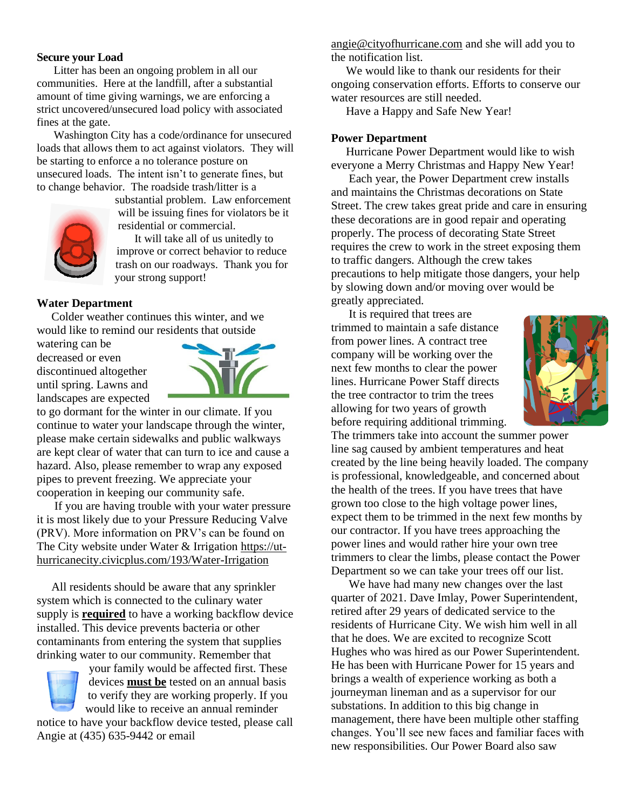# **Secure your Load**

 Litter has been an ongoing problem in all our communities. Here at the landfill, after a substantial amount of time giving warnings, we are enforcing a strict uncovered/unsecured load policy with associated fines at the gate.

 Washington City has a code/ordinance for unsecured loads that allows them to act against violators. They will be starting to enforce a no tolerance posture on unsecured loads. The intent isn't to generate fines, but to change behavior. The roadside trash/litter is a



substantial problem. Law enforcement will be issuing fines for violators be it residential or commercial.

 It will take all of us unitedly to improve or correct behavior to reduce trash on our roadways. Thank you for your strong support!

#### **Water Department**

 Colder weather continues this winter, and we would like to remind our residents that outside

watering can be decreased or even discontinued altogether until spring. Lawns and landscapes are expected



to go dormant for the winter in our climate. If you continue to water your landscape through the winter, please make certain sidewalks and public walkways are kept clear of water that can turn to ice and cause a hazard. Also, please remember to wrap any exposed pipes to prevent freezing. We appreciate your cooperation in keeping our community safe.

 If you are having trouble with your water pressure it is most likely due to your Pressure Reducing Valve (PRV). More information on PRV's can be found on The City website under Water & Irrigation [https://ut](https://ut-hurricanecity.civicplus.com/193/Water-Irrigation)[hurricanecity.civicplus.com/193/Water-Irrigation](https://ut-hurricanecity.civicplus.com/193/Water-Irrigation)

 All residents should be aware that any sprinkler system which is connected to the culinary water supply is **required** to have a working backflow device installed. This device prevents bacteria or other contaminants from entering the system that supplies drinking water to our community. Remember that

your family would be affected first. These devices **must be** tested on an annual basis to verify they are working properly. If you would like to receive an annual reminder notice to have your backflow device tested, please call Angie at (435) 635-9442 or email

[angie@cityofhurricane.com](mailto:angie@cityofhurricane.com) and she will add you to the notification list.

We would like to thank our residents for their ongoing conservation efforts. Efforts to conserve our water resources are still needed.

Have a Happy and Safe New Year!

#### **Power Department**

 Hurricane Power Department would like to wish everyone a Merry Christmas and Happy New Year!

 Each year, the Power Department crew installs and maintains the Christmas decorations on State Street. The crew takes great pride and care in ensuring these decorations are in good repair and operating properly. The process of decorating State Street requires the crew to work in the street exposing them to traffic dangers. Although the crew takes precautions to help mitigate those dangers, your help by slowing down and/or moving over would be greatly appreciated.

 It is required that trees are trimmed to maintain a safe distance from power lines. A contract tree company will be working over the next few months to clear the power lines. Hurricane Power Staff directs the tree contractor to trim the trees allowing for two years of growth before requiring additional trimming.



The trimmers take into account the summer power line sag caused by ambient temperatures and heat created by the line being heavily loaded. The company is professional, knowledgeable, and concerned about the health of the trees. If you have trees that have grown too close to the high voltage power lines, expect them to be trimmed in the next few months by our contractor. If you have trees approaching the power lines and would rather hire your own tree trimmers to clear the limbs, please contact the Power Department so we can take your trees off our list.

 We have had many new changes over the last quarter of 2021. Dave Imlay, Power Superintendent, retired after 29 years of dedicated service to the residents of Hurricane City. We wish him well in all that he does. We are excited to recognize Scott Hughes who was hired as our Power Superintendent. He has been with Hurricane Power for 15 years and brings a wealth of experience working as both a journeyman lineman and as a supervisor for our substations. In addition to this big change in management, there have been multiple other staffing changes. You'll see new faces and familiar faces with new responsibilities. Our Power Board also saw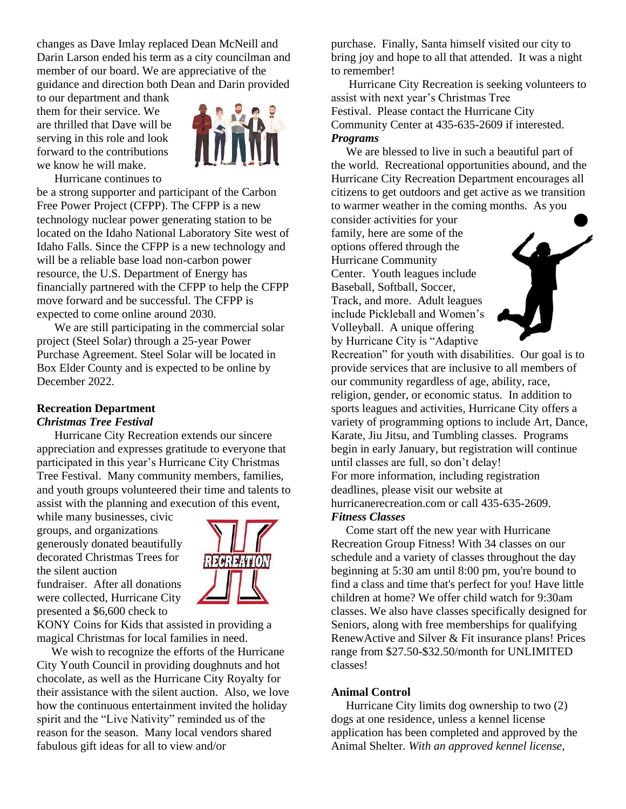changes as Dave Imlay replaced Dean McNeill and Darin Larson ended his term as a city councilman and member of our board. We are appreciative of the guidance and direction both Dean and Darin provided

to our department and thank them for their service. We are thrilled that Dave will be serving in this role and look forward to the contributions we know he will make.



Hurricane continues to

be a strong supporter and participant of the Carbon Free Power Project (CFPP). The CFPP is a new technology nuclear power generating station to be located on the Idaho National Laboratory Site west of Idaho Falls. Since the CFPP is a new technology and will be a reliable base load non-carbon power resource, the U.S. Department of Energy has financially partnered with the CFPP to help the CFPP move forward and be successful. The CFPP is expected to come online around 2030.

 We are still participating in the commercial solar project (Steel Solar) through a 25-year Power Purchase Agreement. Steel Solar will be located in Box Elder County and is expected to be online by December 2022.

# **Recreation Department** *Christmas Tree Festival*

 Hurricane City Recreation extends our sincere appreciation and expresses gratitude to everyone that participated in this year's Hurricane City Christmas Tree Festival. Many community members, families, and youth groups volunteered their time and talents to assist with the planning and execution of this event,

while many businesses, civic groups, and organizations generously donated beautifully decorated Christmas Trees for the silent auction fundraiser. After all donations were collected, Hurricane City presented a \$6,600 check to



KONY Coins for Kids that assisted in providing a magical Christmas for local families in need.

 We wish to recognize the efforts of the Hurricane City Youth Council in providing doughnuts and hot chocolate, as well as the Hurricane City Royalty for their assistance with the silent auction. Also, we love how the continuous entertainment invited the holiday spirit and the "Live Nativity" reminded us of the reason for the season. Many local vendors shared fabulous gift ideas for all to view and/or

purchase. Finally, Santa himself visited our city to bring joy and hope to all that attended. It was a night to remember!

 Hurricane City Recreation is seeking volunteers to assist with next year's Christmas Tree Festival. Please contact the Hurricane City Community Center at 435-635-2609 if interested. *Programs*

 We are blessed to live in such a beautiful part of the world. Recreational opportunities abound, and the Hurricane City Recreation Department encourages all citizens to get outdoors and get active as we transition to warmer weather in the coming months. As you

consider activities for your family, here are some of the options offered through the Hurricane Community Center. Youth leagues include Baseball, Softball, Soccer, Track, and more. Adult leagues include Pickleball and Women's Volleyball. A unique offering by Hurricane City is "Adaptive



Recreation" for youth with disabilities. Our goal is to provide services that are inclusive to all members of our community regardless of age, ability, race, religion, gender, or economic status. In addition to sports leagues and activities, Hurricane City offers a variety of programming options to include Art, Dance, Karate, Jiu Jitsu, and Tumbling classes. Programs begin in early January, but registration will continue until classes are full, so don't delay! For more information, including registration deadlines, please visit our website at hurricanerecreation.com or call 435-635-2609. *Fitness Classes*

Come start off the new year with Hurricane Recreation Group Fitness! With 34 classes on our schedule and a variety of classes throughout the day beginning at 5:30 am until 8:00 pm, you're bound to find a class and time that's perfect for you! Have little children at home? We offer child watch for 9:30am classes. We also have classes specifically designed for Seniors, along with free memberships for qualifying RenewActive and Silver & Fit insurance plans! Prices range from \$27.50-\$32.50/month for UNLIMITED classes!

# **Animal Control**

 Hurricane City limits dog ownership to two (2) dogs at one residence, unless a kennel license application has been completed and approved by the Animal Shelter. *With an approved kennel license,*